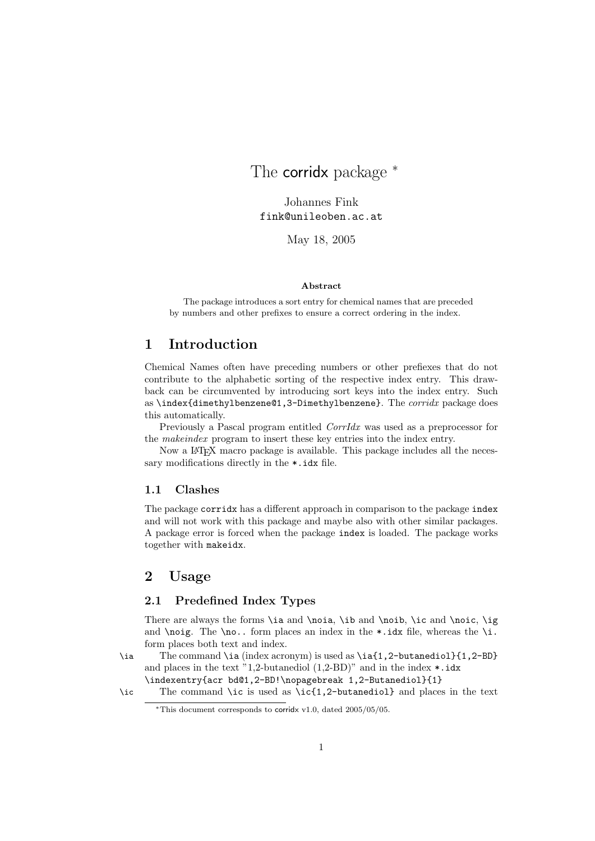# The **corrid** x package  $*$

Johannes Fink fink@unileoben.ac.at

May 18, 2005

#### Abstract

The package introduces a sort entry for chemical names that are preceded by numbers and other prefixes to ensure a correct ordering in the index.

# 1 Introduction

Chemical Names often have preceding numbers or other prefiexes that do not contribute to the alphabetic sorting of the respective index entry. This drawback can be circumvented by introducing sort keys into the index entry. Such as \index{dimethylbenzene@1,3-Dimethylbenzene}. The *corridx* package does this automatically.

Previously a Pascal program entitled *CorrIdx* was used as a preprocessor for the makeindex program to insert these key entries into the index entry.

Now a LATEX macro package is available. This package includes all the necessary modifications directly in the \*.idx file.

#### 1.1 Clashes

The package corridx has a different approach in comparison to the package index and will not work with this package and maybe also with other similar packages. A package error is forced when the package index is loaded. The package works together with makeidx.

# 2 Usage

## 2.1 Predefined Index Types

There are always the forms \ia and \noia, \ib and \noib, \ic and \noic, \ig and **\noig.** The **\no..** form places an index in the  $\cdot$  idx file, whereas the **\i.** form places both text and index.

\ia The command \ia (index acronym) is used as \ia{1,2-butanediol}{1,2-BD} and places in the text "1,2-butanediol  $(1,2-BD)$ " and in the index  $\ast$ .idx \indexentry{acr bd@1,2-BD!\nopagebreak 1,2-Butanediol}{1}

\ic The command \ic is used as \ic{1,2-butanediol} and places in the text

<sup>∗</sup>This document corresponds to corridx v1.0, dated 2005/05/05.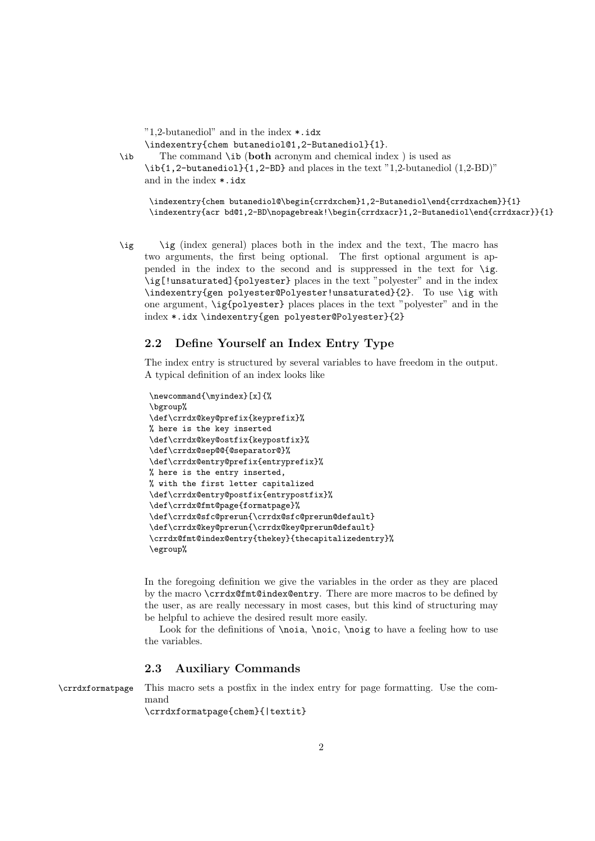"1,2-butanediol" and in the index \*.idx \indexentry{chem butanediol@1,2-Butanediol}{1}.

\ib The command \ib (both acronym and chemical index ) is used as \ib{1,2-butanediol}{1,2-BD} and places in the text "1,2-butanediol (1,2-BD)" and in the index \*.idx

\indexentry{chem butanediol@\begin{crrdxchem}1,2-Butanediol\end{crrdxachem}}{1} \indexentry{acr bd@1,2-BD\nopagebreak!\begin{crrdxacr}1,2-Butanediol\end{crrdxacr}}{1}

\ig \ig (index general) places both in the index and the text, The macro has two arguments, the first being optional. The first optional argument is appended in the index to the second and is suppressed in the text for \ig. \ig[!unsaturated]{polyester} places in the text "polyester" and in the index \indexentry{gen polyester@Polyester!unsaturated}{2}. To use \ig with one argument, \ig{polyester} places places in the text "polyester" and in the index \*.idx \indexentry{gen polyester@Polyester}{2}

### 2.2 Define Yourself an Index Entry Type

The index entry is structured by several variables to have freedom in the output. A typical definition of an index looks like

```
\newcommand{\myindex}[x]{%
\bgroup%
\def\crrdx@key@prefix{keyprefix}%
% here is the key inserted
\def\crrdx@key@ostfix{keypostfix}%
\def\crrdx@sep@@{@separator@}%
\def\crrdx@entry@prefix{entryprefix}%
% here is the entry inserted,
% with the first letter capitalized
\def\crrdx@entry@postfix{entrypostfix}%
\def\crrdx@fmt@page{formatpage}%
\def\crrdx@sfc@prerun{\crrdx@sfc@prerun@default}
\def\crrdx@key@prerun{\crrdx@key@prerun@default}
\crrdx@fmt@index@entry{thekey}{thecapitalizedentry}%
\egroup%
```
In the foregoing definition we give the variables in the order as they are placed by the macro \crrdx@fmt@index@entry. There are more macros to be defined by the user, as are really necessary in most cases, but this kind of structuring may be helpful to achieve the desired result more easily.

Look for the definitions of **\noia**, **\noic**, **\noig** to have a feeling how to use the variables.

#### 2.3 Auxiliary Commands

\crrdxformatpage This macro sets a postfix in the index entry for page formatting. Use the command

\crrdxformatpage{chem}{|textit}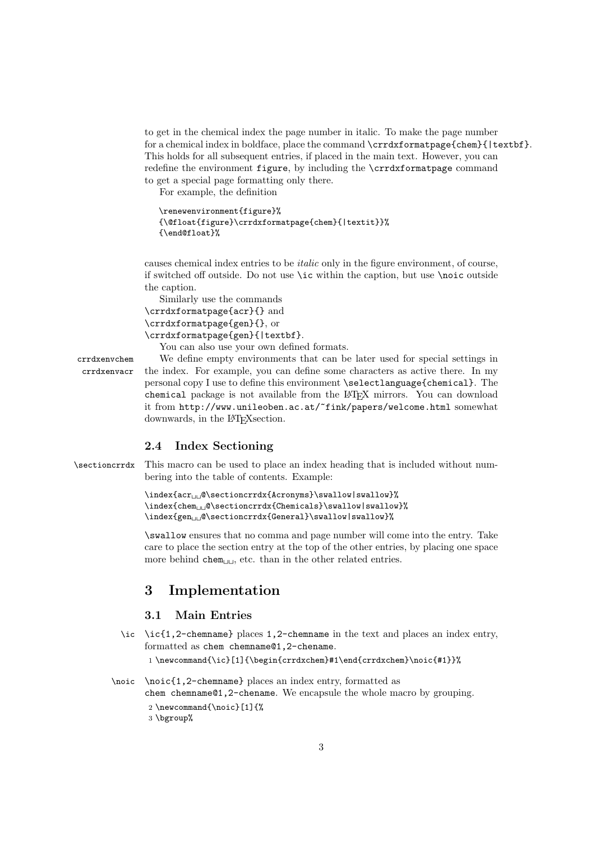to get in the chemical index the page number in italic. To make the page number for a chemical index in boldface, place the command \crrdxformatpage{chem}{|textbf}. This holds for all subsequent entries, if placed in the main text. However, you can redefine the environment figure, by including the \crrdxformatpage command to get a special page formatting only there.

For example, the definition

```
\renewenvironment{figure}%
{\@float{figure}\crrdxformatpage{chem}{|textit}}%
{\end@float}%
```
causes chemical index entries to be italic only in the figure environment, of course, if switched off outside. Do not use \ic within the caption, but use \noic outside the caption.

```
Similarly use the commands
\crrdxformatpage{acr}{} and
\crrdxformatpage{gen}{}, or
\crrdxformatpage{gen}{|textbf}.
```
You can also use your own defined formats.

crrdxenvchem We define empty environments that can be later used for special settings in crrdxenvacr the index. For example, you can define some characters as active there. In my personal copy I use to define this environment \selectlanguage{chemical}. The chemical package is not available from the LATEX mirrors. You can download it from http://www.unileoben.ac.at/~fink/papers/welcome.html somewhat downwards, in the L<sup>AT</sup>FX section.

### 2.4 Index Sectioning

\sectioncrrdx This macro can be used to place an index heading that is included without numbering into the table of contents. Example:

```
\index{acr<sub>UU</sub>@\sectioncrrdx{Acronyms}\swallow|swallow}%
\infty{chem<sub>\cup</sub>©\setminussectioncrrdx{Chemicals}\sumwallow|swallow}%
\label{eq:gen} $$\index{gen_{\sec:noncrrdx{General}}\swallow|swallow|swallow|
```
\swallow ensures that no comma and page number will come into the entry. Take care to place the section entry at the top of the other entries, by placing one space more behind chem $_{\sqcup\sqcup}$ , etc. than in the other related entries.

# 3 Implementation

# 3.1 Main Entries

\ic \ic{1,2-chemname} places 1,2-chemname in the text and places an index entry, formatted as chem chemname@1,2-chename.

```
1 \newcommand{\ic}[1]{\begin{crrdxchem}#1\end{crrdxchem}\noic{#1}}%
```
\noic \noic{1,2-chemname} places an index entry, formatted as chem chemname@1,2-chename. We encapsule the whole macro by grouping.

```
2 \newcommand{\noic}[1]{%
```

```
3 \bgroup%
```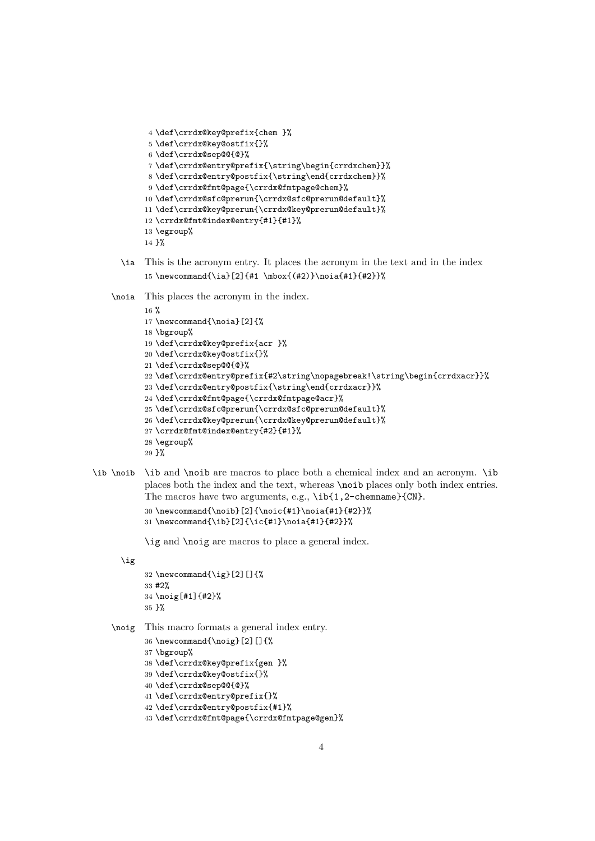```
4 \def\crrdx@key@prefix{chem }%
5 \def\crrdx@key@ostfix{}%
6 \def\crrdx@sep@@{@}%
7 \def\crrdx@entry@prefix{\string\begin{crrdxchem}}%
8 \def\crrdx@entry@postfix{\string\end{crrdxchem}}%
9 \def\crrdx@fmt@page{\crrdx@fmtpage@chem}%
10 \def\crrdx@sfc@prerun{\crrdx@sfc@prerun@default}%
11 \def\crrdx@key@prerun{\crrdx@key@prerun@default}%
12 \crrdx@fmt@index@entry{#1}{#1}%
13 \egroup%
14 }%
```
\ia This is the acronym entry. It places the acronym in the text and in the index 15 \newcommand{\ia}[2]{#1 \mbox{(#2)}\noia{#1}{#2}}%

\noia This places the acronym in the index.

```
16 %
17 \newcommand{\noia}[2]{%
18 \bgroup%
19 \def\crrdx@key@prefix{acr }%
20 \def\crrdx@key@ostfix{}%
21 \def\crrdx@sep@@{@}%
22 \def\crrdx@entry@prefix{#2\string\nopagebreak!\string\begin{crrdxacr}}%
23 \def\crrdx@entry@postfix{\string\end{crrdxacr}}%
24 \def\crrdx@fmt@page{\crrdx@fmtpage@acr}%
25 \def\crrdx@sfc@prerun{\crrdx@sfc@prerun@default}%
26 \def\crrdx@key@prerun{\crrdx@key@prerun@default}%
27 \crrdx@fmt@index@entry{#2}{#1}%
28 \egroup%
29 }%
```
\ib \noib \ib and \noib are macros to place both a chemical index and an acronym. \ib places both the index and the text, whereas **\noib** places only both index entries. The macros have two arguments, e.g.,  $\ib{1,2}$ -chemname}{CN}.

```
30 \newcommand{\noib}[2]{\noic{#1}\noia{#1}{#2}}%
31 \newcommand{\ib}{2}{{\right)l} \newcommand{\ib}[2]{\ic{#1}\noia{#1}{#2}}%
```
\ig and \noig are macros to place a general index.

\ig

```
32 \neq \text{mod}[\iota][2][]33 #2%
34 \noig[#1]{#2}%
35 }%
```
\noig This macro formats a general index entry.

 \newcommand{\noig}[2][]{% \bgroup% \def\crrdx@key@prefix{gen }% \def\crrdx@key@ostfix{}% \def\crrdx@sep@@{@}% \def\crrdx@entry@prefix{}% \def\crrdx@entry@postfix{#1}% \def\crrdx@fmt@page{\crrdx@fmtpage@gen}%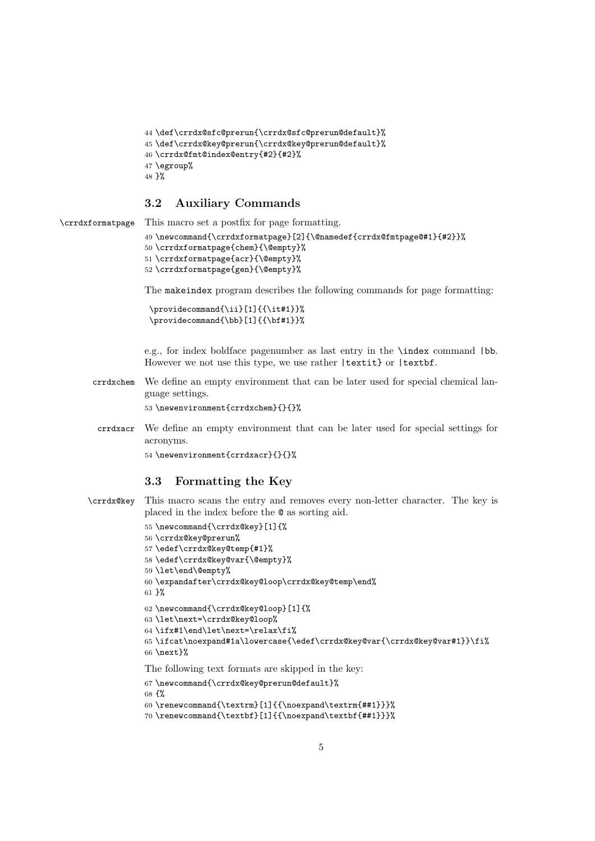```
44 \def\crrdx@sfc@prerun{\crrdx@sfc@prerun@default}%
45 \def\crrdx@key@prerun{\crrdx@key@prerun@default}%
46 \crrdx@fmt@index@entry{#2}{#2}%
47 \egroup%
48 }%
```
# 3.2 Auxiliary Commands

```
\crrdxformatpage This macro set a postfix for page formatting.
```

```
49 \newcommand{\crrdxformatpage}[2]{\@namedef{crrdx@fmtpage@#1}{#2}}%
50 \crrdxformatpage{chem}{\@empty}%
51 \crrdxformatpage{acr}{\@empty}%
52 \crrdxformatpage{gen}{\@empty}%
```
The makeindex program describes the following commands for page formatting:

```
\providecommand{\ii}[1]{{\it#1}}%
\providecommand{\bb}[1]{{\bf#1}}%
```
e.g., for index boldface pagenumber as last entry in the \index command |bb. However we not use this type, we use rather |textit} or |textbf.

crrdxchem We define an empty environment that can be later used for special chemical language settings.

\newenvironment{crrdxchem}{}{}%

crrdxacr We define an empty environment that can be later used for special settings for acronyms.

\newenvironment{crrdxacr}{}{}%

#### 3.3 Formatting the Key

```
\crrdx@key This macro scans the entry and removes every non-letter character. The key is
            placed in the index before the @ as sorting aid.
```

```
55 \newcommand{\crrdx@key}[1]{%
56 \crrdx@key@prerun%
57 \edef\crrdx@key@temp{#1}%
58 \edef\crrdx@key@var{\@empty}%
59 \let\end\@empty%
60 \expandafter\crrdx@key@loop\crrdx@key@temp\end%
61 }%
62 \newcommand{\crrdx@key@loop}[1]{%
63 \let\next=\crrdx@key@loop%
64 \ifx#1\end\let\next=\relax\fi%
65 \ifcat\noexpand#1a\lowercase{\edef\crrdx@key@var{\crrdx@key@var#1}}\fi%
66 \next}%
The following text formats are skipped in the key:
67 \newcommand{\crrdx@key@prerun@default}%
```

```
68 {%
69 \renewcommand{\textrm}[1]{{\noexpand\textrm{##1}}}%
70 \renewcommand{\textbf}[1]{{\noexpand\textbf{##1}}}%
```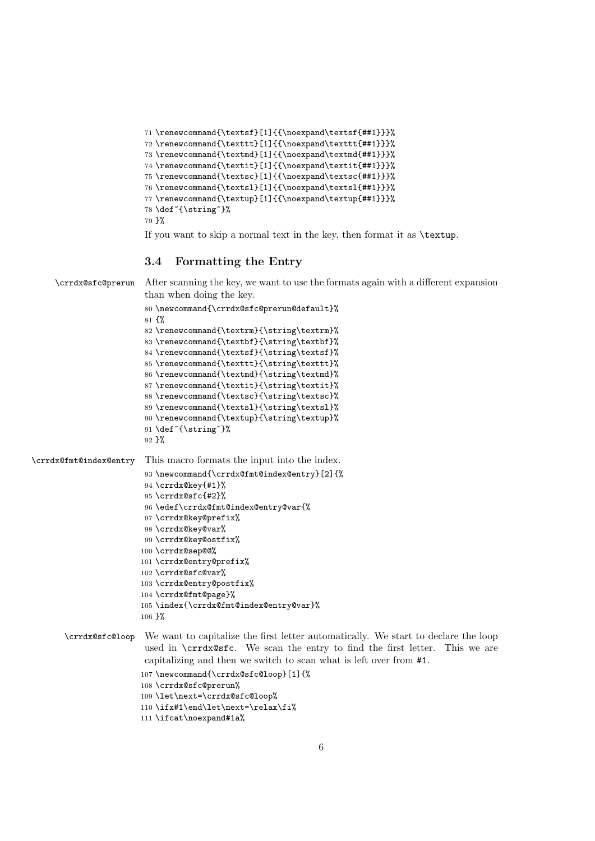```
71 \renewcommand{\textsf}[1]{{\noexpand\textsf{##1}}}%
72 \renewcommand{\texttt}[1]{{\noexpand\texttt{##1}}}%
73 \renewcommand{\textmd}[1]{{\noexpand\textmd{##1}}}%
74 \renewcommand{\textit}[1]{{\noexpand\textit{##1}}}%
75 \renewcommand{\textsc}[1]{{\noexpand\textsc{##1}}}%
76 \renewcommand{\textsl}[1]{{\noexpand\textsl{##1}}}%
77 \renewcommand{\textup}[1]{{\noexpand\textup{##1}}}%
78 \def~{\string~}%
79 }%
```
If you want to skip a normal text in the key, then format it as \textup.

### 3.4 Formatting the Entry

```
\crrdx@sfc@prerun After scanning the key, we want to use the formats again with a different expansion
                         than when doing the key.
                         80 \newcommand{\crrdx@sfc@prerun@default}%
                         81 {%
                         82 \renewcommand{\textrm}{\string\textrm}%
                         83\renewcommand{\textbf}{\string\textbf}%
                         84 \renewcommand{\textsf}{\string\textsf}%
                         85 \renewcommand{\texttt}{\string\texttt}%
                         86 \renewcommand{\textmd}{\string\textmd}%
                         87 \renewcommand{\textit}{\string\textit}%
                         88 \renewcommand{\textsc}{\string\textsc}%
                         89 \renewcommand{\textsl}{\string\textsl}%
                         90 \renewcommand{\textup}{\string\textup}%
                         91 \def~{\string~}%
                         92 }%
\crrdx@fmt@index@entry This macro formats the input into the index.
                         93 \newcommand{\crrdx@fmt@index@entry}[2]{%
                         94 \crrdx@key{#1}%
                         95 \crrdx@sfc{#2}%
                         96 \edef\crrdx@fmt@index@entry@var{%
                        97 \crrdx@key@prefix%
                        98 \crrdx@key@var%
                        99 \crrdx@key@ostfix%
                        100 \crrdx@sep@@%
                        101 \crrdx@entry@prefix%
                        102 \crrdx@sfc@var%
                        103 \crrdx@entry@postfix%
                        104 \crrdx@fmt@page}%
                        105 \index{\crrdx@fmt@index@entry@var}%
                        106 }%
       \crrdx@sfc@loop We want to capitalize the first letter automatically. We start to declare the loop
                         used in \crrdx@sfc. We scan the entry to find the first letter. This we are
                         capitalizing and then we switch to scan what is left over from #1.
                        107 \newcommand{\crrdx@sfc@loop}[1]{%
                        108 \crrdx@sfc@prerun%
```

```
109 \let\next=\crrdx@sfc@loop%
```

```
110 \ifx#1\end\let\next=\relax\fi%
```

```
111 \ifcat\noexpand#1a%
```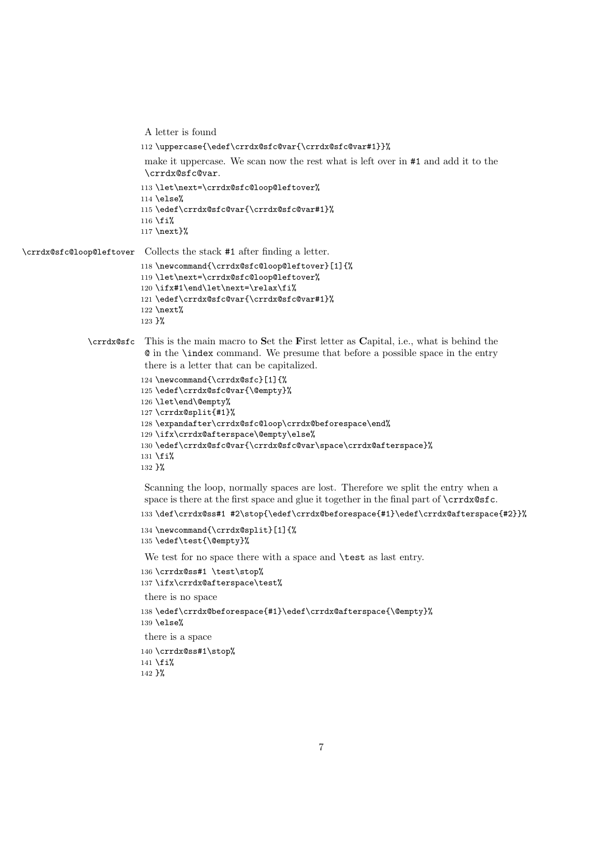```
A letter is found
                          112 \uppercase{\edef\crrdx@sfc@var{\crrdx@sfc@var#1}}%
                           make it uppercase. We scan now the rest what is left over in #1 and add it to the
                           \crrdx@sfc@var.
                          113 \let\next=\crrdx@sfc@loop@leftover%
                          114 \else%
                          115 \edef\crrdx@sfc@var{\crrdx@sfc@var#1}%
                          116 \fi%
                          117 \next}%
\crrdx@sfc@loop@leftover Collects the stack #1 after finding a letter.
                          118 \newcommand{\crrdx@sfc@loop@leftover}[1]{%
                          119 \let\next=\crrdx@sfc@loop@leftover%
                          120 \ifx#1\end\let\next=\relax\fi%
                          121 \edef\crrdx@sfc@var{\crrdx@sfc@var#1}%
                          122 \next%
                          123 }%
              \crrdx@sfc This is the main macro to Set the First letter as Capital, i.e., what is behind the
                           @ in the \index command. We presume that before a possible space in the entry
                           there is a letter that can be capitalized.
                          124 \newcommand{\crrdx@sfc}[1]{%
                          125 \edef\crrdx@sfc@var{\@empty}%
                          126 \let\end\@empty%
                          127 \crrdx@split{#1}%
                          128 \expandafter\crrdx@sfc@loop\crrdx@beforespace\end%
                          129 \ifx\crrdx@afterspace\@empty\else%
                          130 \edef\crrdx@sfc@var{\crrdx@sfc@var\space\crrdx@afterspace}%
                          131 \fi%
                          132 }%
                           Scanning the loop, normally spaces are lost. Therefore we split the entry when a
                           space is there at the first space and glue it together in the final part of \c{rrd}sfc.
                          133 \def\crrdx@ss#1 #2\stop{\edef\crrdx@beforespace{#1}\edef\crrdx@afterspace{#2}}%
                          134 \newcommand{\crrdx@split}[1]{%
                          135 \edef\test{\@empty}%
                           We test for no space there with a space and \test as last entry.
                          136 \crrdx@ss#1 \test\stop%
                          137 \ifx\crrdx@afterspace\test%
                           there is no space
                          138 \edef\crrdx@beforespace{#1}\edef\crrdx@afterspace{\@empty}%
                          139 \else%
                           there is a space
                          140 \crrdx@ss#1\stop%
                          141 \fi%
                          142 }%
```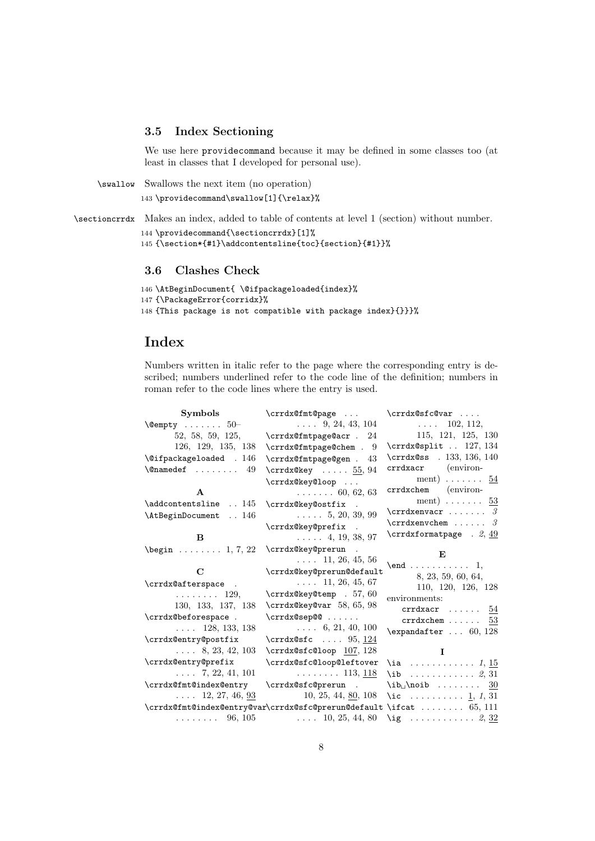### 3.5 Index Sectioning

We use here providecommand because it may be defined in some classes too (at least in classes that I developed for personal use).

```
\swallow Swallows the next item (no operation)
         143 \providecommand\swallow[1]{\relax}%
```
\sectioncrrdx Makes an index, added to table of contents at level 1 (section) without number. 144 \providecommand{\sectioncrrdx}[1]% 145 {\section\*{#1}\addcontentsline{toc}{section}{#1}}%

### 3.6 Clashes Check

```
146 \AtBeginDocument{ \@ifpackageloaded{index}%
147 {\PackageError{corridx}%
148 {This package is not compatible with package index}{}}}%
```
# Index

Numbers written in italic refer to the page where the corresponding entry is described; numbers underlined refer to the code line of the definition; numbers in roman refer to the code lines where the entry is used.

| Symbols                                                 | \crrdx@fmt@page                                        | $\crrdx@sfc@var $                        |
|---------------------------------------------------------|--------------------------------------------------------|------------------------------------------|
| $\text{Qempty} \dots \dots 50$                          | $\ldots$ 9, 24, 43, 104                                | $\ldots$ 102, 112,                       |
| 52, 58, 59, 125,                                        | $\verb \crrdx@fmtpage@acr . 24 $                       | 115, 121, 125, 130                       |
| 126, 129, 135, 138                                      | \crrdx@fmtpage@chem . 9                                | \crrdx@split  127, 134                   |
| $\text{Qifpackageloaded}$ . 146                         | \crrdx@fmtpage@gen .<br>43                             | $\crrdx@ss$ . 133, 136, 140              |
| $\Omega$ 49                                             | $\text{Crrd}x@key \ldots 55, 94$                       | crrdxacr (environ-                       |
|                                                         | \crrdx@key@loop                                        | ment) $\ldots \ldots \frac{54}{5}$       |
| $\mathbf{A}$                                            | $\ldots \ldots 60, 62, 63$                             | crrdxchem (environ-                      |
| \addcontentsline  145                                   | \crrdx@key@ostfix .                                    | ment) 53                                 |
| \AtBeginDocument  146                                   | $\ldots 5, 20, 39, 99$                                 | $\text{Crrdxenvacr} \dots \dots$         |
|                                                         | \crrdx@key@prefix .                                    | $\texttt{Vert} \dots \dots$              |
| B                                                       | $\ldots$ 4, 19, 38, 97                                 | $\c{rrdxformat page}$ . 2, 49            |
| $\begin{bmatrix} \text{begin} 0.1 \\ 0.2 \end{bmatrix}$ | \crrdx@key@prerun                                      |                                          |
|                                                         | $\ldots$ 11, 26, 45, 56                                | E                                        |
| $\mathbf C$                                             | \crrdx@key@prerun@default                              | $\text{end} \ldots \ldots \ldots 1,$     |
| \crrdx@afterspace .                                     | $\ldots$ 11, 26, 45, 67                                | 8, 23, 59, 60, 64,<br>110, 120, 126, 128 |
| $\ldots \ldots 129$                                     | \crrdx@key@temp . 57, 60                               | environments:                            |
| 130, 133, 137, 138                                      | \crrdx@key@var 58, 65, 98                              | crrdxacr $\ldots \ldots \frac{54}{5}$    |
| \crrdx@beforespace.                                     | $\crrdx@sep@$                                          | crrdxchem $53$                           |
| $\ldots$ 128, 133, 138                                  | $\ldots$ 6, 21, 40, 100                                | $\text{expandafter} \dots 60, 128$       |
| \crrdx@entry@postfix                                    | $\crrdx@sfc \ldots 95, 124$                            |                                          |
| $\ldots$ 8, 23, 42, 103                                 | $\c{rrdx@sfc@loop}$ 107, 128                           | $\mathbf{I}$                             |
| \crrdx@entry@prefix                                     | \crrdx@sfc@loop@leftover                               | \ia $1, 15$                              |
| $\ldots$ 7, 22, 41, 101                                 | $\ldots \ldots \ldots 113, 118$                        | $\iota$ 2, 31                            |
| \crrdx@fmt@index@entry                                  | \crrdx@sfc@prerun .                                    | $\ib_{\Box}$ \noib  30                   |
| $\ldots$ 12, 27, 46, 93                                 | $10, 25, 44, \underline{80}, 108$                      | \ic $1, 1, 31$                           |
|                                                         | \crrdx@fmt@index@entry@var\crrdx@sfc@prerun@default    | \ifcat $\dots\dots \dots$ 65, 111        |
|                                                         | $\ldots \ldots \ldots$ 96, 105 $\ldots$ 10, 25, 44, 80 | $\iota$ g  2, 32                         |
|                                                         |                                                        |                                          |